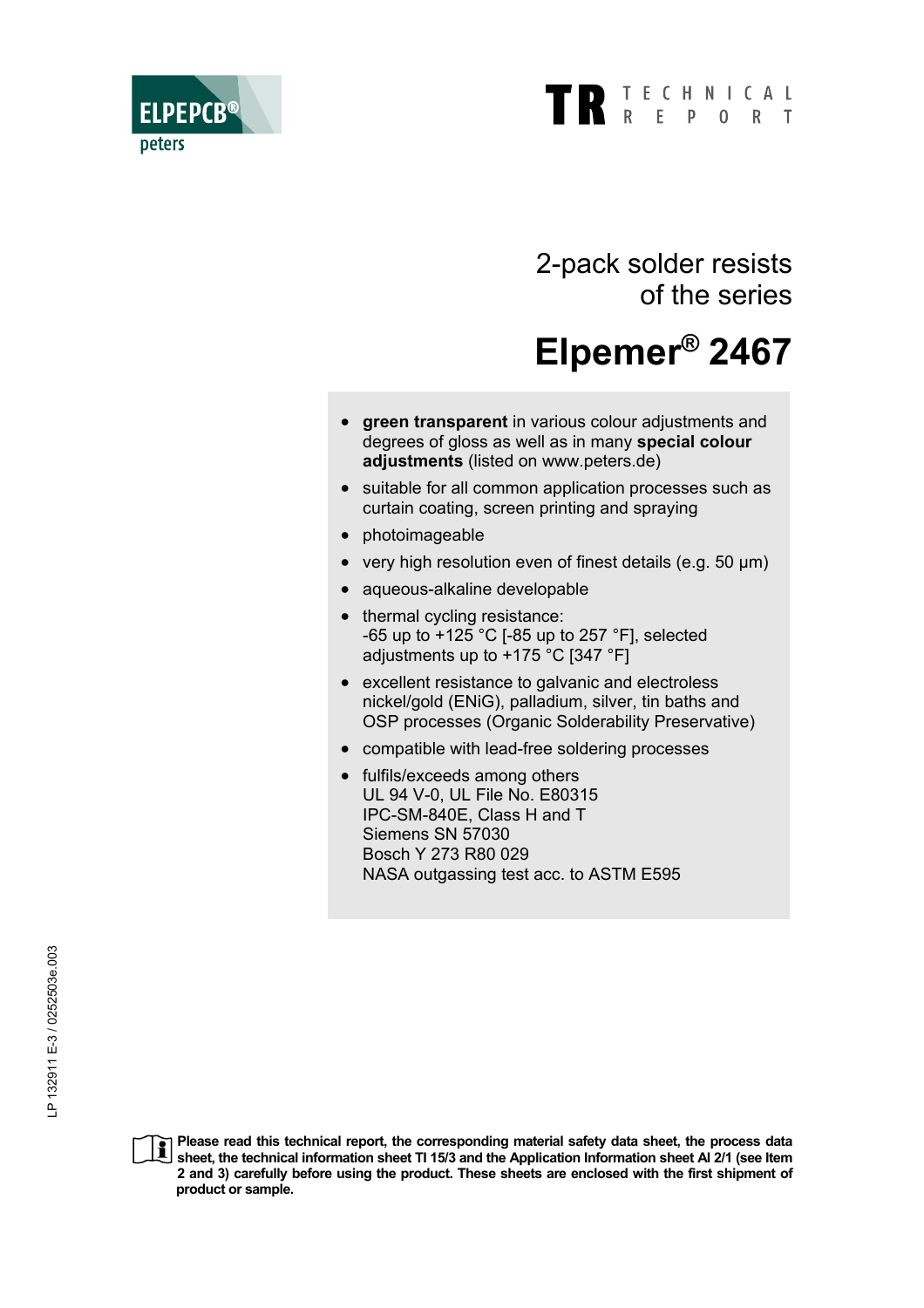

2-pack solder resists of the series

# **Elpemer® 2467**

- **areen transparent** in various colour adjustments and degrees of gloss as well as in many **special colour adjustments** (listed on www.peters.de)
- suitable for all common application processes such as curtain coating, screen printing and spraying
- photoimageable

**ELPEPCB** 

peters

- very high resolution even of finest details (e.g. 50 µm)
- aqueous-alkaline developable
- thermal cycling resistance: -65 up to +125 °C [-85 up to 257 °F], selected adjustments up to +175 °C [347 °F]
- excellent resistance to galvanic and electroless nickel/gold (ENiG), palladium, silver, tin baths and OSP processes (Organic Solderability Preservative)
- compatible with lead-free soldering processes
- fulfils/exceeds among others UL 94 V-0, UL File No. E80315 IPC-SM-840E, Class H and T Siemens SN 57030 Bosch Y 273 R80 029 NASA outgassing test acc. to ASTM E595

**Please read this technical report, the corresponding material safety data sheet, the process data**   $\mathbf i$ **sheet, the technical information sheet TI 15/3 and the Application Information sheet AI 2/1 (see Item 2 and 3) carefully before using the product. These sheets are enclosed with the first shipment of product or sample.**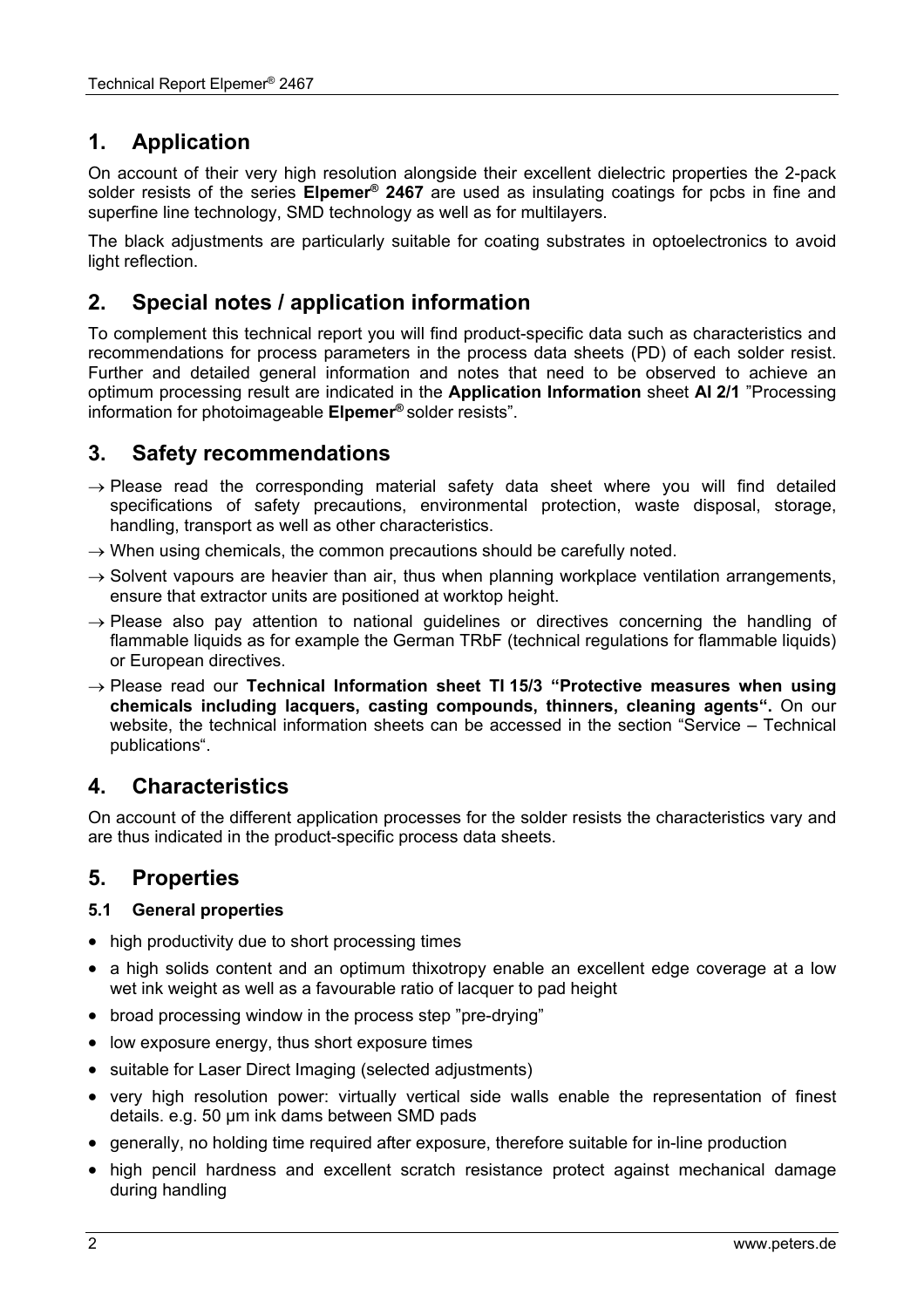# **1. Application**

On account of their very high resolution alongside their excellent dielectric properties the 2-pack solder resists of the series **Elpemer® 2467** are used as insulating coatings for pcbs in fine and superfine line technology, SMD technology as well as for multilayers.

The black adjustments are particularly suitable for coating substrates in optoelectronics to avoid light reflection.

## **2. Special notes / application information**

To complement this technical report you will find product-specific data such as characteristics and recommendations for process parameters in the process data sheets (PD) of each solder resist. Further and detailed general information and notes that need to be observed to achieve an optimum processing result are indicated in the **Application Information** sheet **AI 2/1** "Processing information for photoimageable **Elpemer®** solder resists".

## **3. Safety recommendations**

- $\rightarrow$  Please read the corresponding material safety data sheet where you will find detailed specifications of safety precautions, environmental protection, waste disposal, storage, handling, transport as well as other characteristics.
- $\rightarrow$  When using chemicals, the common precautions should be carefully noted.
- $\rightarrow$  Solvent vapours are heavier than air, thus when planning workplace ventilation arrangements, ensure that extractor units are positioned at worktop height.
- $\rightarrow$  Please also pay attention to national guidelines or directives concerning the handling of flammable liquids as for example the German TRbF (technical regulations for flammable liquids) or European directives.
- → Please read our **Technical Information sheet TI 15/3 "Protective measures when using chemicals including lacquers, casting compounds, thinners, cleaning agents".** On our website, the technical information sheets can be accessed in the section "Service – Technical publications".

## **4. Characteristics**

On account of the different application processes for the solder resists the characteristics vary and are thus indicated in the product-specific process data sheets.

### **5. Properties**

#### **5.1 General properties**

- high productivity due to short processing times
- a high solids content and an optimum thixotropy enable an excellent edge coverage at a low wet ink weight as well as a favourable ratio of lacquer to pad height
- broad processing window in the process step "pre-drying"
- low exposure energy, thus short exposure times
- suitable for Laser Direct Imaging (selected adjustments)
- very high resolution power: virtually vertical side walls enable the representation of finest details. e.g. 50 µm ink dams between SMD pads
- generally, no holding time required after exposure, therefore suitable for in-line production
- high pencil hardness and excellent scratch resistance protect against mechanical damage during handling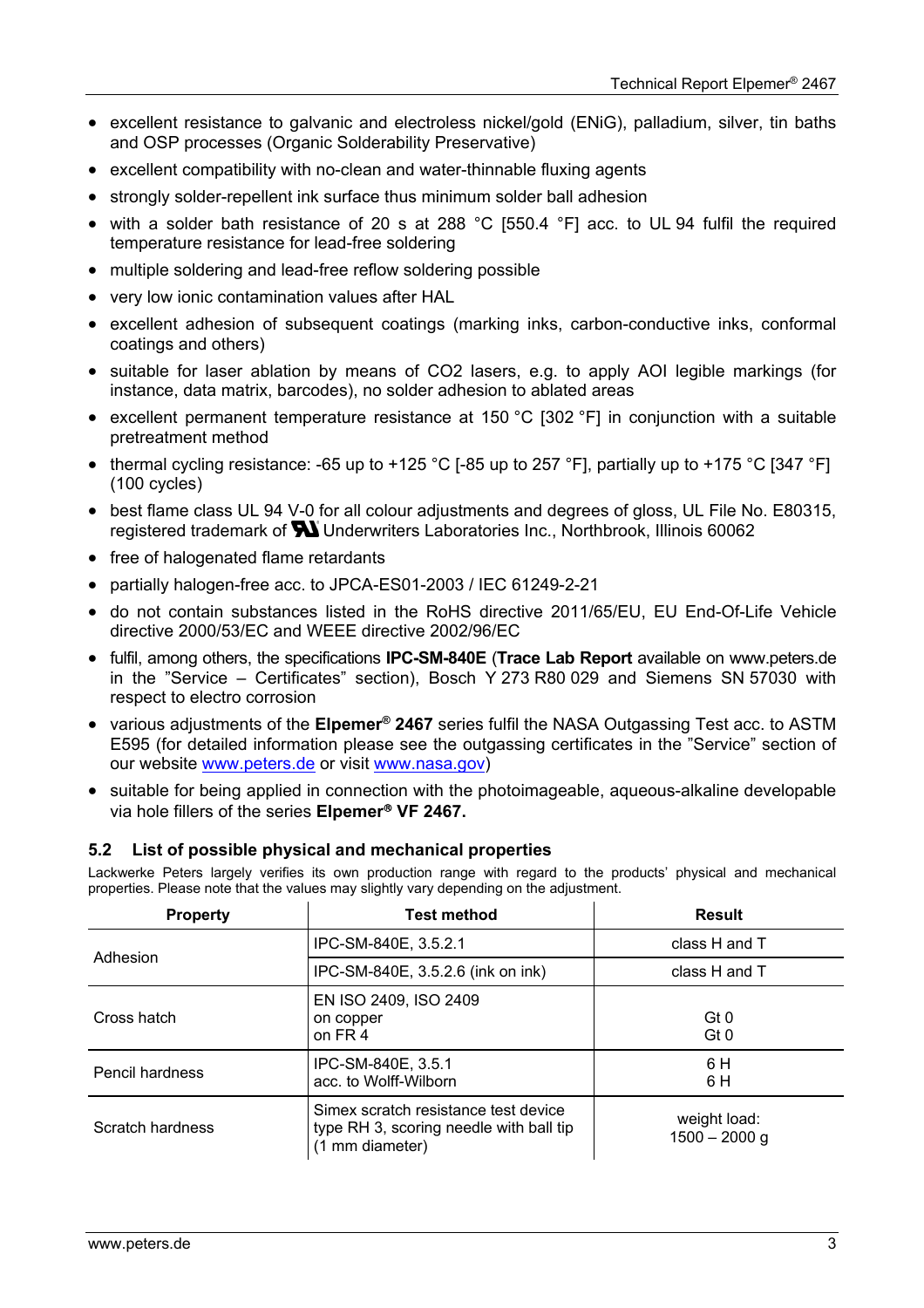- excellent resistance to galvanic and electroless nickel/gold (ENiG), palladium, silver, tin baths and OSP processes (Organic Solderability Preservative)
- excellent compatibility with no-clean and water-thinnable fluxing agents
- strongly solder-repellent ink surface thus minimum solder ball adhesion
- with a solder bath resistance of 20 s at 288 °C [550.4 °F] acc. to UL 94 fulfil the required temperature resistance for lead-free soldering
- multiple soldering and lead-free reflow soldering possible
- very low ionic contamination values after HAL
- excellent adhesion of subsequent coatings (marking inks, carbon-conductive inks, conformal coatings and others)
- suitable for laser ablation by means of CO2 lasers, e.g. to apply AOI legible markings (for instance, data matrix, barcodes), no solder adhesion to ablated areas
- excellent permanent temperature resistance at 150 °C [302 °F] in conjunction with a suitable pretreatment method
- thermal cycling resistance: -65 up to +125 °C [-85 up to 257 °F], partially up to +175 °C [347 °F] (100 cycles)
- best flame class UL 94 V-0 for all colour adjustments and degrees of gloss, UL File No. E80315, registered trademark of **W** Underwriters Laboratories Inc., Northbrook, Illinois 60062
- free of halogenated flame retardants
- partially halogen-free acc. to JPCA-ES01-2003 / IEC 61249-2-21
- do not contain substances listed in the RoHS directive 2011/65/EU, EU End-Of-Life Vehicle directive 2000/53/EC and WEEE directive 2002/96/EC
- fulfil, among others, the specifications **IPC-SM-840E** (**Trace Lab Report** available on www.peters.de in the "Service – Certificates" section), Bosch Y 273 R80 029 and Siemens SN 57030 with respect to electro corrosion
- various adjustments of the **Elpemer® 2467** series fulfil the NASA Outgassing Test acc. to ASTM E595 (for detailed information please see the outgassing certificates in the "Service" section of our website www.peters.de or visit www.nasa.gov)
- suitable for being applied in connection with the photoimageable, aqueous-alkaline developable via hole fillers of the series **Elpemer VF 2467.**

#### **5.2 List of possible physical and mechanical properties**

Lackwerke Peters largely verifies its own production range with regard to the products' physical and mechanical properties. Please note that the values may slightly vary depending on the adjustment.

| <b>Test method</b><br><b>Property</b>                                                                                  |                                              | <b>Result</b>                   |
|------------------------------------------------------------------------------------------------------------------------|----------------------------------------------|---------------------------------|
| Adhesion                                                                                                               | IPC-SM-840E, 3.5.2.1                         | class H and T                   |
|                                                                                                                        | IPC-SM-840E, 3.5.2.6 (ink on ink)            | class H and T                   |
| Cross hatch                                                                                                            | EN ISO 2409, ISO 2409<br>on copper<br>on FR4 | Gt 0<br>Gt0                     |
| Pencil hardness                                                                                                        | IPC-SM-840E, 3.5.1<br>acc. to Wolff-Wilborn  |                                 |
| Simex scratch resistance test device<br>Scratch hardness<br>type RH 3, scoring needle with ball tip<br>(1 mm diameter) |                                              | weight load:<br>$1500 - 2000$ g |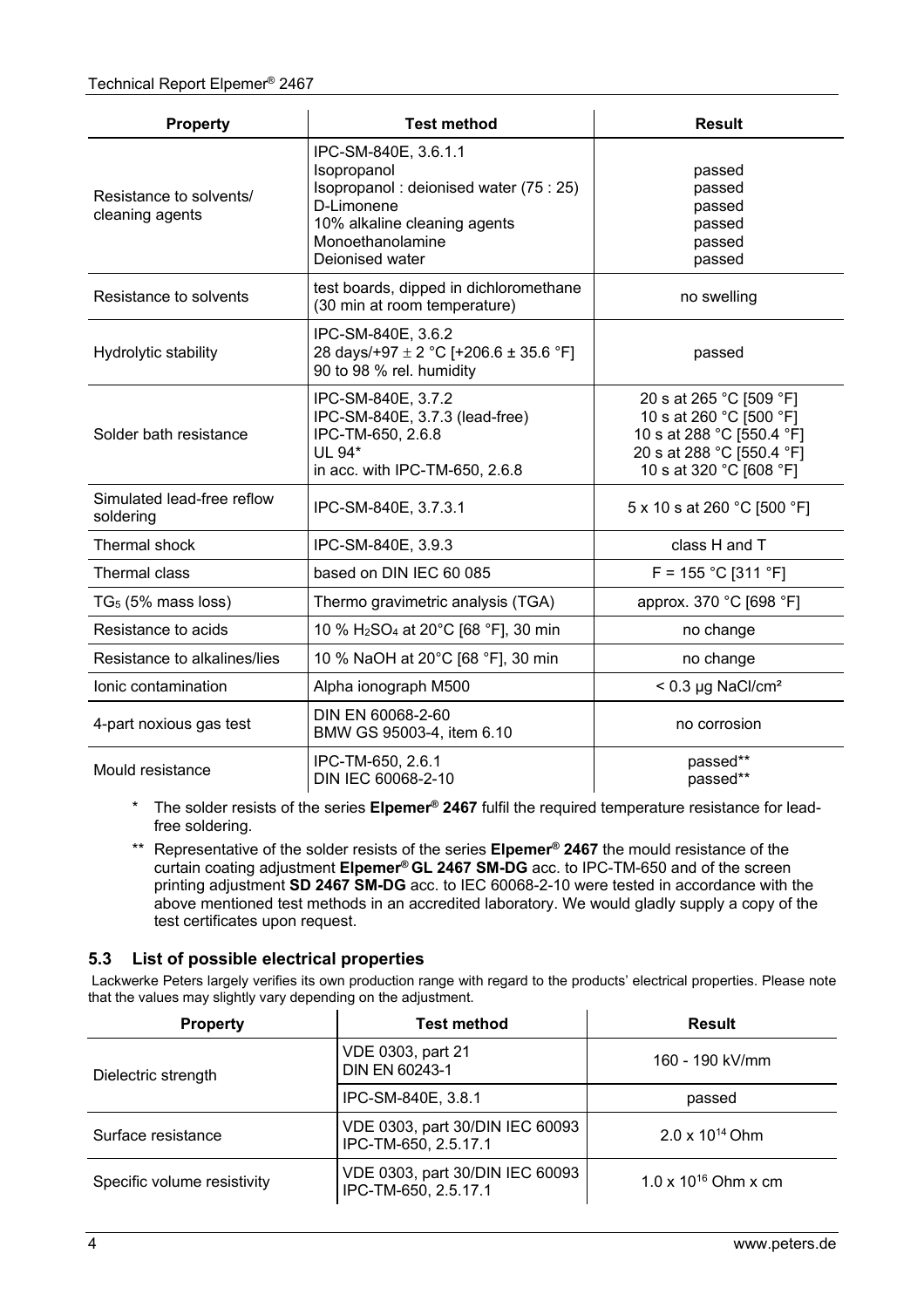| <b>Test method</b><br><b>Property</b>                                              |                                                                                                                                                                    | <b>Result</b>                                                                                                                           |  |
|------------------------------------------------------------------------------------|--------------------------------------------------------------------------------------------------------------------------------------------------------------------|-----------------------------------------------------------------------------------------------------------------------------------------|--|
| Resistance to solvents/<br>cleaning agents                                         | IPC-SM-840E, 3.6.1.1<br>Isopropanol<br>Isopropanol: deionised water (75 : 25)<br>D-Limonene<br>10% alkaline cleaning agents<br>Monoethanolamine<br>Deionised water | passed<br>passed<br>passed<br>passed<br>passed<br>passed                                                                                |  |
| Resistance to solvents                                                             | test boards, dipped in dichloromethane<br>(30 min at room temperature)                                                                                             | no swelling                                                                                                                             |  |
| Hydrolytic stability                                                               | IPC-SM-840E, 3.6.2<br>28 days/+97 $\pm$ 2 °C [+206.6 $\pm$ 35.6 °F]<br>90 to 98 % rel. humidity                                                                    | passed                                                                                                                                  |  |
| Solder bath resistance                                                             | IPC-SM-840E, 3.7.2<br>IPC-SM-840E, 3.7.3 (lead-free)<br>IPC-TM-650, 2.6.8<br>UL 94*<br>in acc. with IPC-TM-650, 2.6.8                                              | 20 s at 265 °C [509 °F]<br>10 s at 260 °C [500 °F]<br>10 s at 288 °C [550.4 °F]<br>20 s at 288 °C [550.4 °F]<br>10 s at 320 °C [608 °F] |  |
| Simulated lead-free reflow<br>soldering                                            | IPC-SM-840E, 3.7.3.1                                                                                                                                               | 5 x 10 s at 260 °C [500 °F]                                                                                                             |  |
| Thermal shock                                                                      | IPC-SM-840E, 3.9.3                                                                                                                                                 | class $H$ and $T$                                                                                                                       |  |
| Thermal class                                                                      | based on DIN IEC 60 085                                                                                                                                            | $F = 155 °C$ [311 °F]                                                                                                                   |  |
| $TG5$ (5% mass loss)                                                               | Thermo gravimetric analysis (TGA)                                                                                                                                  | approx. 370 °C [698 °F]                                                                                                                 |  |
| Resistance to acids<br>10 % H <sub>2</sub> SO <sub>4</sub> at 20°C [68 °F], 30 min |                                                                                                                                                                    | no change                                                                                                                               |  |
| Resistance to alkalines/lies                                                       | 10 % NaOH at 20°C [68 °F], 30 min                                                                                                                                  |                                                                                                                                         |  |
| Ionic contamination                                                                | Alpha ionograph M500                                                                                                                                               | $< 0.3 \mu g$ NaCl/cm <sup>2</sup>                                                                                                      |  |
| 4-part noxious gas test                                                            | DIN EN 60068-2-60<br>BMW GS 95003-4, item 6.10                                                                                                                     |                                                                                                                                         |  |
| IPC-TM-650, 2.6.1<br>Mould resistance<br>DIN IEC 60068-2-10                        |                                                                                                                                                                    | passed**<br>passed**                                                                                                                    |  |

\* The solder resists of the series **Elpemer® 2467** fulfil the required temperature resistance for leadfree soldering.

\*\* Representative of the solder resists of the series **Elpemer® 2467** the mould resistance of the curtain coating adjustment **Elpemer® GL 2467 SM-DG** acc. to IPC-TM-650 and of the screen printing adjustment **SD 2467 SM-DG** acc. to IEC 60068-2-10 were tested in accordance with the above mentioned test methods in an accredited laboratory. We would gladly supply a copy of the test certificates upon request.

#### **5.3 List of possible electrical properties**

 Lackwerke Peters largely verifies its own production range with regard to the products' electrical properties. Please note that the values may slightly vary depending on the adjustment.

| <b>Property</b>             | <b>Test method</b>                                      | <b>Result</b>            |
|-----------------------------|---------------------------------------------------------|--------------------------|
| Dielectric strength         | VDE 0303, part 21<br>DIN EN 60243-1                     | 160 - 190 kV/mm          |
|                             | IPC-SM-840E, 3.8.1                                      | passed                   |
| Surface resistance          | VDE 0303, part 30/DIN IEC 60093<br>IPC-TM-650, 2.5.17.1 | $2.0 \times 10^{14}$ Ohm |
| Specific volume resistivity | VDE 0303, part 30/DIN IEC 60093<br>IPC-TM-650, 2.5.17.1 | 1.0 x $10^{16}$ Ohm x cm |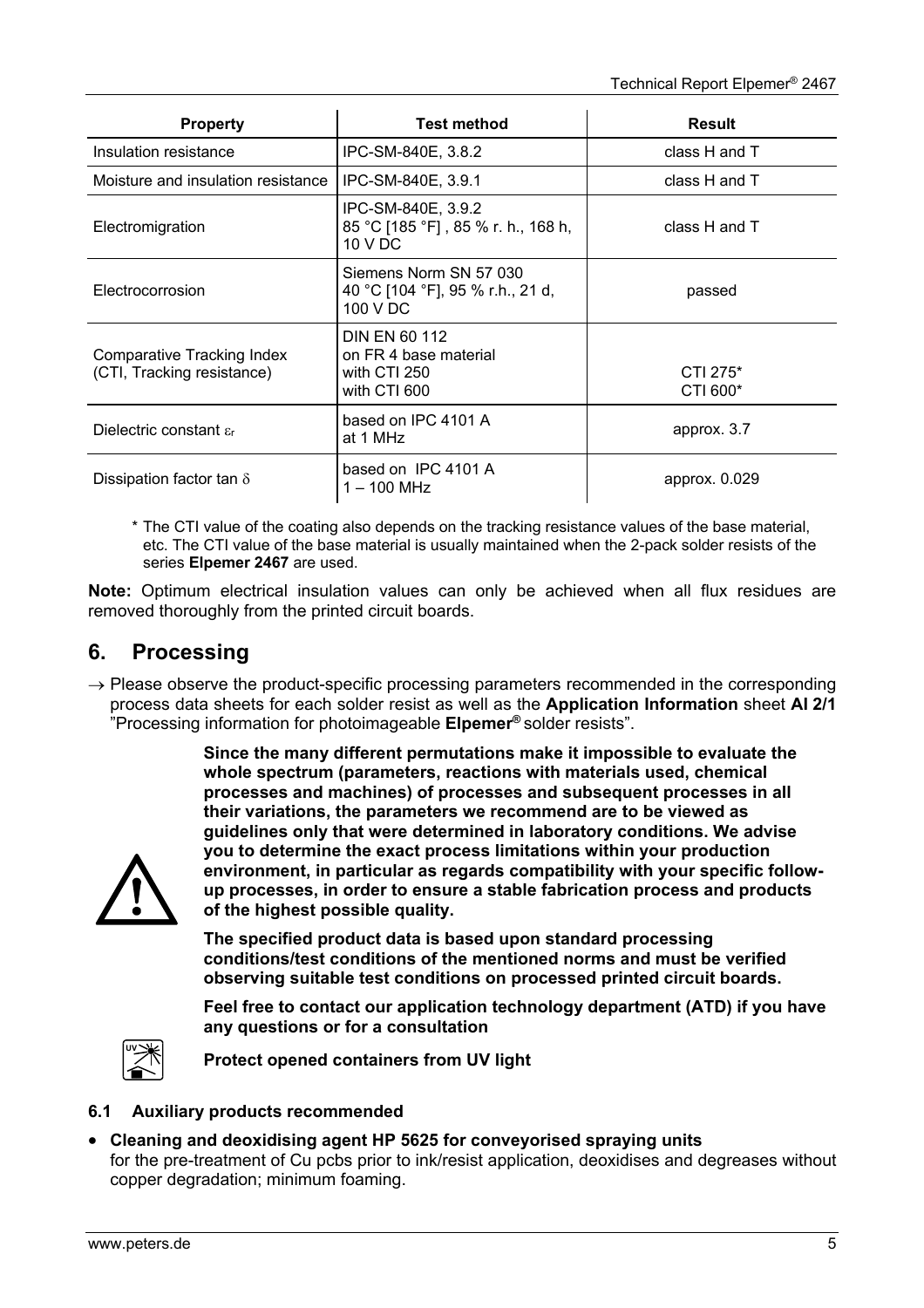| <b>Property</b>                                          | <b>Test method</b>                                                            | <b>Result</b>        |
|----------------------------------------------------------|-------------------------------------------------------------------------------|----------------------|
| Insulation resistance                                    | IPC-SM-840E, 3.8.2                                                            | class H and T        |
| Moisture and insulation resistance                       | IPC-SM-840E, 3.9.1                                                            | class H and T        |
| Electromigration                                         | IPC-SM-840E, 3.9.2<br>85 °C [185 °F], 85 % r. h., 168 h,<br>10 V DC           | class H and T        |
| Electrocorrosion                                         | Siemens Norm SN 57 030<br>40 °C [104 °F], 95 % r.h., 21 d,<br>100 V DC        | passed               |
| Comparative Tracking Index<br>(CTI, Tracking resistance) | <b>DIN EN 60 112</b><br>on FR 4 base material<br>with CTI 250<br>with CTI 600 | CTI 275*<br>CTI 600* |
| Dielectric constant $\varepsilon_{r}$                    | based on IPC 4101 A<br>at 1 MHz                                               | approx. 3.7          |
| Dissipation factor tan $\delta$                          | based on IPC 4101 A<br>$1 - 100$ MHz                                          | approx. 0.029        |

\* The CTI value of the coating also depends on the tracking resistance values of the base material, etc. The CTI value of the base material is usually maintained when the 2-pack solder resists of the series **Elpemer 2467** are used.

**Note:** Optimum electrical insulation values can only be achieved when all flux residues are removed thoroughly from the printed circuit boards.

## **6. Processing**

 $\rightarrow$  Please observe the product-specific processing parameters recommended in the corresponding process data sheets for each solder resist as well as the **Application Information** sheet **AI 2/1** "Processing information for photoimageable **Elpemer®** solder resists".

> **Since the many different permutations make it impossible to evaluate the whole spectrum (parameters, reactions with materials used, chemical processes and machines) of processes and subsequent processes in all their variations, the parameters we recommend are to be viewed as guidelines only that were determined in laboratory conditions. We advise you to determine the exact process limitations within your production environment, in particular as regards compatibility with your specific followup processes, in order to ensure a stable fabrication process and products of the highest possible quality.**

**The specified product data is based upon standard processing conditions/test conditions of the mentioned norms and must be verified observing suitable test conditions on processed printed circuit boards.**

**Feel free to contact our application technology department (ATD) if you have any questions or for a consultation** 



**Protect opened containers from UV light** 

#### **6.1 Auxiliary products recommended**

 **Cleaning and deoxidising agent HP 5625 for conveyorised spraying units**  for the pre-treatment of Cu pcbs prior to ink/resist application, deoxidises and degreases without copper degradation; minimum foaming.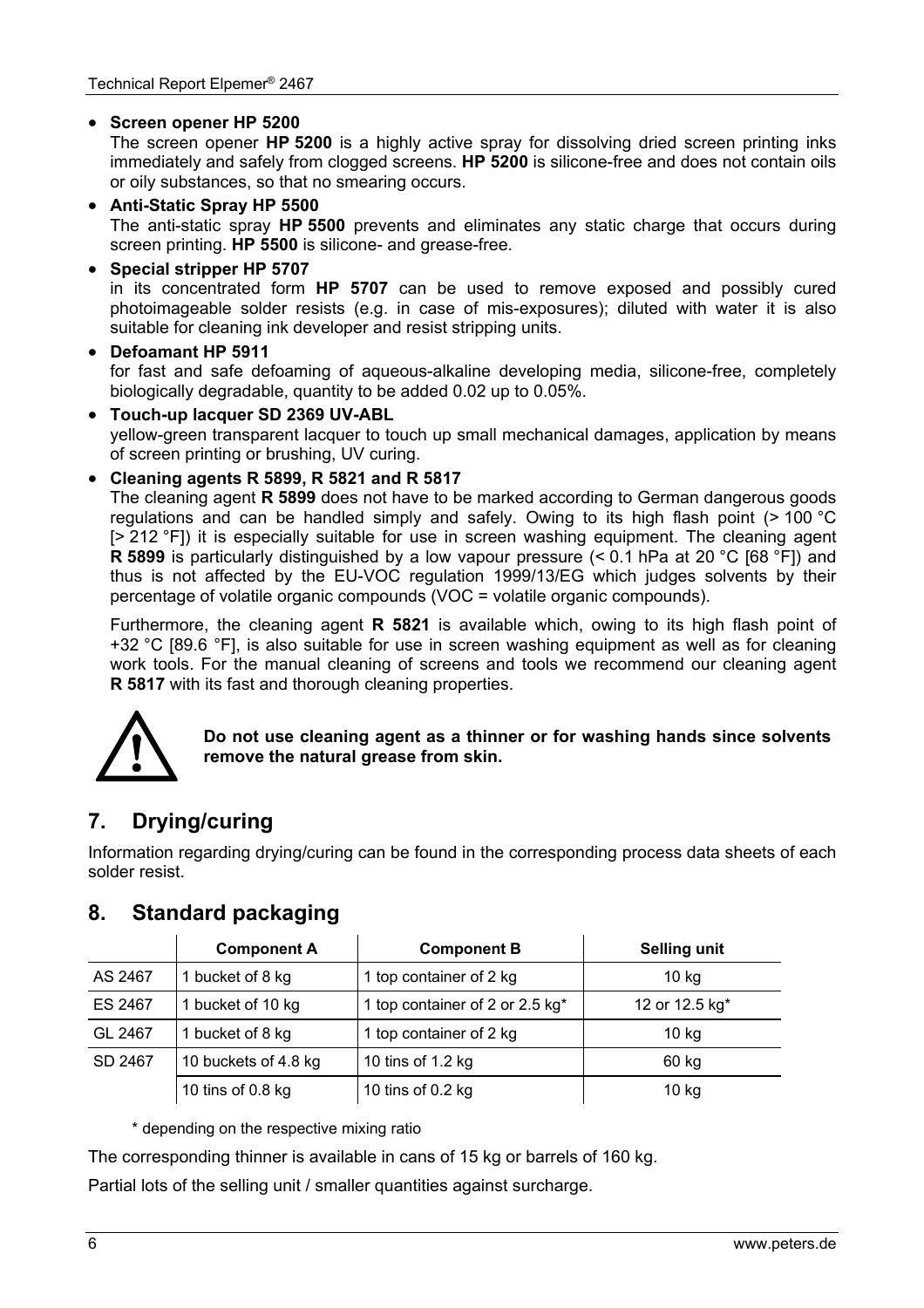#### **Screen opener HP 5200**

The screen opener **HP 5200** is a highly active spray for dissolving dried screen printing inks immediately and safely from clogged screens. **HP 5200** is silicone-free and does not contain oils or oily substances, so that no smearing occurs.

#### **Anti-Static Spray HP 5500**

The anti-static spray **HP 5500** prevents and eliminates any static charge that occurs during screen printing. **HP 5500** is silicone- and grease-free.

#### **Special stripper HP 5707**

in its concentrated form **HP 5707** can be used to remove exposed and possibly cured photoimageable solder resists (e.g. in case of mis-exposures); diluted with water it is also suitable for cleaning ink developer and resist stripping units.

#### **Defoamant HP 5911**

for fast and safe defoaming of aqueous-alkaline developing media, silicone-free, completely biologically degradable, quantity to be added 0.02 up to 0.05%.

#### **Touch-up lacquer SD 2369 UV-ABL**

yellow-green transparent lacquer to touch up small mechanical damages, application by means of screen printing or brushing, UV curing.

#### **Cleaning agents R 5899, R 5821 and R 5817**

The cleaning agent **R 5899** does not have to be marked according to German dangerous goods regulations and can be handled simply and safely. Owing to its high flash point (> 100 °C [> 212 °F]) it is especially suitable for use in screen washing equipment. The cleaning agent **R 5899** is particularly distinguished by a low vapour pressure (< 0.1 hPa at 20 °C [68 °F]) and thus is not affected by the EU-VOC regulation 1999/13/EG which judges solvents by their percentage of volatile organic compounds (VOC = volatile organic compounds).

Furthermore, the cleaning agent **R 5821** is available which, owing to its high flash point of +32 °C [89.6 °F], is also suitable for use in screen washing equipment as well as for cleaning work tools. For the manual cleaning of screens and tools we recommend our cleaning agent **R 5817** with its fast and thorough cleaning properties.



**Do not use cleaning agent as a thinner or for washing hands since solvents remove the natural grease from skin.** 

# **7. Drying/curing**

Information regarding drying/curing can be found in the corresponding process data sheets of each solder resist.

# **8. Standard packaging**

|         | <b>Component A</b>   | <b>Component B</b>              | <b>Selling unit</b> |
|---------|----------------------|---------------------------------|---------------------|
| AS 2467 | 1 bucket of 8 kg     | 1 top container of 2 kg         | 10 <sub>kg</sub>    |
| ES 2467 | 1 bucket of 10 kg    | 1 top container of 2 or 2.5 kg* | 12 or 12.5 kg*      |
| GL 2467 | 1 bucket of 8 kg     | 1 top container of 2 kg         | 10 <sub>kg</sub>    |
| SD 2467 | 10 buckets of 4.8 kg | 10 tins of 1.2 kg               | 60 kg               |
|         | 10 tins of 0.8 kg    | 10 tins of $0.2$ kg             | $10$ kg             |

\* depending on the respective mixing ratio

The corresponding thinner is available in cans of 15 kg or barrels of 160 kg.

Partial lots of the selling unit / smaller quantities against surcharge.